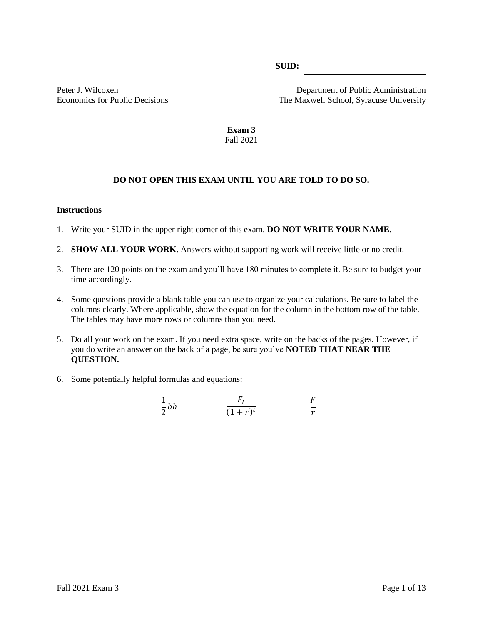**SUID:**

Peter J. Wilcoxen **Department of Public Administration** Economics for Public Decisions The Maxwell School, Syracuse University

> **Exam 3** Fall 2021

# **DO NOT OPEN THIS EXAM UNTIL YOU ARE TOLD TO DO SO.**

#### **Instructions**

- 1. Write your SUID in the upper right corner of this exam. **DO NOT WRITE YOUR NAME**.
- 2. **SHOW ALL YOUR WORK**. Answers without supporting work will receive little or no credit.
- 3. There are 120 points on the exam and you'll have 180 minutes to complete it. Be sure to budget your time accordingly.
- 4. Some questions provide a blank table you can use to organize your calculations. Be sure to label the columns clearly. Where applicable, show the equation for the column in the bottom row of the table*.* The tables may have more rows or columns than you need.
- 5. Do all your work on the exam. If you need extra space, write on the backs of the pages. However, if you do write an answer on the back of a page, be sure you've **NOTED THAT NEAR THE QUESTION.**
- 6. Some potentially helpful formulas and equations:

$$
\frac{1}{2}bh \qquad \qquad \frac{F_t}{(1+r)^t} \qquad \qquad \frac{F}{r}
$$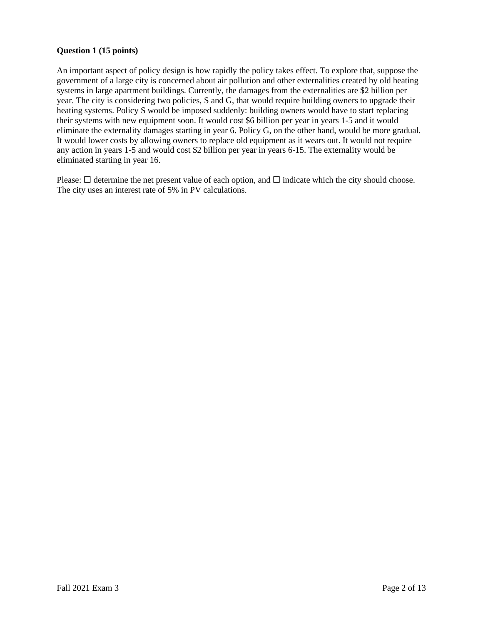### **Question 1 (15 points)**

An important aspect of policy design is how rapidly the policy takes effect. To explore that, suppose the government of a large city is concerned about air pollution and other externalities created by old heating systems in large apartment buildings. Currently, the damages from the externalities are \$2 billion per year. The city is considering two policies, S and G, that would require building owners to upgrade their heating systems. Policy S would be imposed suddenly: building owners would have to start replacing their systems with new equipment soon. It would cost \$6 billion per year in years 1-5 and it would eliminate the externality damages starting in year 6. Policy G, on the other hand, would be more gradual. It would lower costs by allowing owners to replace old equipment as it wears out. It would not require any action in years 1-5 and would cost \$2 billion per year in years 6-15. The externality would be eliminated starting in year 16.

Please:  $\square$  determine the net present value of each option, and  $\square$  indicate which the city should choose. The city uses an interest rate of 5% in PV calculations.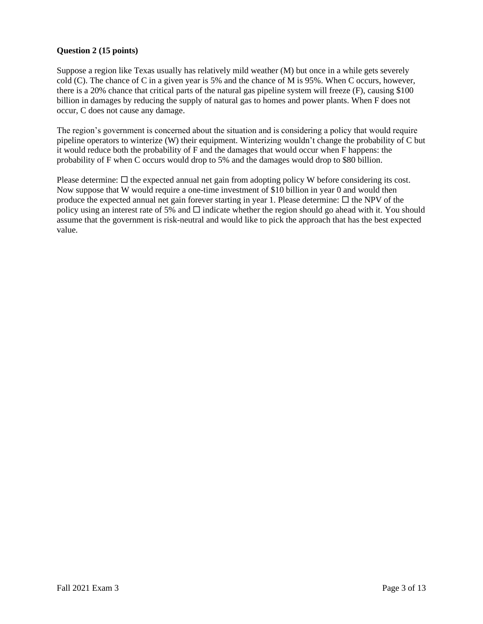### **Question 2 (15 points)**

Suppose a region like Texas usually has relatively mild weather (M) but once in a while gets severely cold (C). The chance of C in a given year is 5% and the chance of M is 95%. When C occurs, however, there is a 20% chance that critical parts of the natural gas pipeline system will freeze (F), causing \$100 billion in damages by reducing the supply of natural gas to homes and power plants. When F does not occur, C does not cause any damage.

The region's government is concerned about the situation and is considering a policy that would require pipeline operators to winterize (W) their equipment. Winterizing wouldn't change the probability of C but it would reduce both the probability of F and the damages that would occur when F happens: the probability of F when C occurs would drop to 5% and the damages would drop to \$80 billion.

Please determine:  $\Box$  the expected annual net gain from adopting policy W before considering its cost. Now suppose that W would require a one-time investment of \$10 billion in year 0 and would then produce the expected annual net gain forever starting in year 1. Please determine:  $\Box$  the NPV of the policy using an interest rate of 5% and  $\Box$  indicate whether the region should go ahead with it. You should assume that the government is risk-neutral and would like to pick the approach that has the best expected value.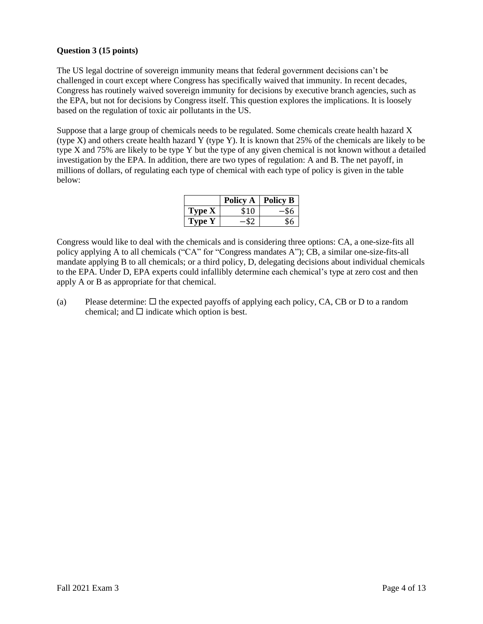### **Question 3 (15 points)**

The US legal doctrine of sovereign immunity means that federal government decisions can't be challenged in court except where Congress has specifically waived that immunity. In recent decades, Congress has routinely waived sovereign immunity for decisions by executive branch agencies, such as the EPA, but not for decisions by Congress itself. This question explores the implications. It is loosely based on the regulation of toxic air pollutants in the US.

Suppose that a large group of chemicals needs to be regulated. Some chemicals create health hazard X (type X) and others create health hazard Y (type Y). It is known that 25% of the chemicals are likely to be type X and 75% are likely to be type Y but the type of any given chemical is not known without a detailed investigation by the EPA. In addition, there are two types of regulation: A and B. The net payoff, in millions of dollars, of regulating each type of chemical with each type of policy is given in the table below:

|               | <b>Policy A</b> | <b>Policy B</b> |
|---------------|-----------------|-----------------|
| <b>Type X</b> | \$10            |                 |
| Type Y        |                 | \$6             |

Congress would like to deal with the chemicals and is considering three options: CA, a one-size-fits all policy applying A to all chemicals ("CA" for "Congress mandates A"); CB, a similar one-size-fits-all mandate applying B to all chemicals; or a third policy, D, delegating decisions about individual chemicals to the EPA. Under D, EPA experts could infallibly determine each chemical's type at zero cost and then apply A or B as appropriate for that chemical.

(a) Please determine:  $\Box$  the expected payoffs of applying each policy, CA, CB or D to a random chemical; and  $\square$  indicate which option is best.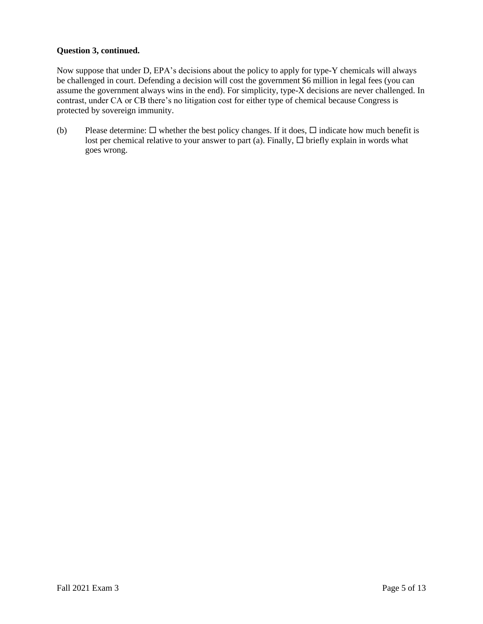### **Question 3, continued.**

Now suppose that under D, EPA's decisions about the policy to apply for type-Y chemicals will always be challenged in court. Defending a decision will cost the government \$6 million in legal fees (you can assume the government always wins in the end). For simplicity, type-X decisions are never challenged. In contrast, under CA or CB there's no litigation cost for either type of chemical because Congress is protected by sovereign immunity.

(b) Please determine:  $\Box$  whether the best policy changes. If it does,  $\Box$  indicate how much benefit is lost per chemical relative to your answer to part (a). Finally,  $\Box$  briefly explain in words what goes wrong.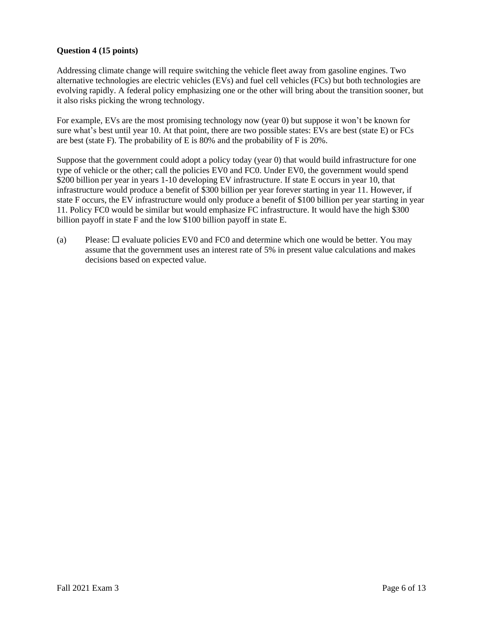### **Question 4 (15 points)**

Addressing climate change will require switching the vehicle fleet away from gasoline engines. Two alternative technologies are electric vehicles (EVs) and fuel cell vehicles (FCs) but both technologies are evolving rapidly. A federal policy emphasizing one or the other will bring about the transition sooner, but it also risks picking the wrong technology.

For example, EVs are the most promising technology now (year 0) but suppose it won't be known for sure what's best until year 10. At that point, there are two possible states: EVs are best (state E) or FCs are best (state F). The probability of E is 80% and the probability of F is 20%.

Suppose that the government could adopt a policy today (year 0) that would build infrastructure for one type of vehicle or the other; call the policies EV0 and FC0. Under EV0, the government would spend \$200 billion per year in years 1-10 developing EV infrastructure. If state E occurs in year 10, that infrastructure would produce a benefit of \$300 billion per year forever starting in year 11. However, if state F occurs, the EV infrastructure would only produce a benefit of \$100 billion per year starting in year 11. Policy FC0 would be similar but would emphasize FC infrastructure. It would have the high \$300 billion payoff in state F and the low \$100 billion payoff in state E.

(a) Please:  $\Box$  evaluate policies EV0 and FC0 and determine which one would be better. You may assume that the government uses an interest rate of 5% in present value calculations and makes decisions based on expected value.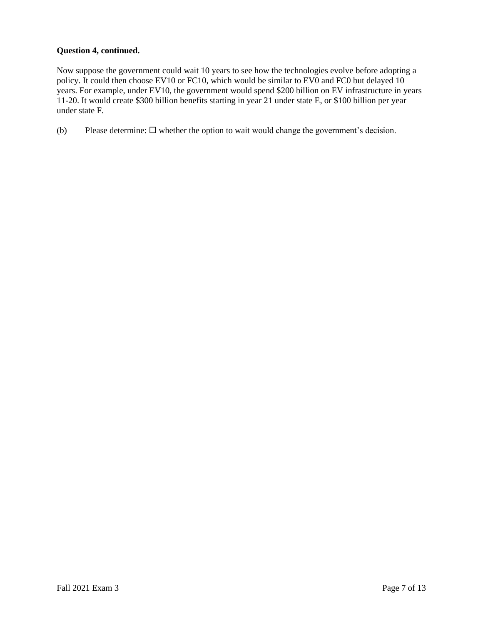# **Question 4, continued.**

Now suppose the government could wait 10 years to see how the technologies evolve before adopting a policy. It could then choose EV10 or FC10, which would be similar to EV0 and FC0 but delayed 10 years. For example, under EV10, the government would spend \$200 billion on EV infrastructure in years 11-20. It would create \$300 billion benefits starting in year 21 under state E, or \$100 billion per year under state F.

(b) Please determine:  $\square$  whether the option to wait would change the government's decision.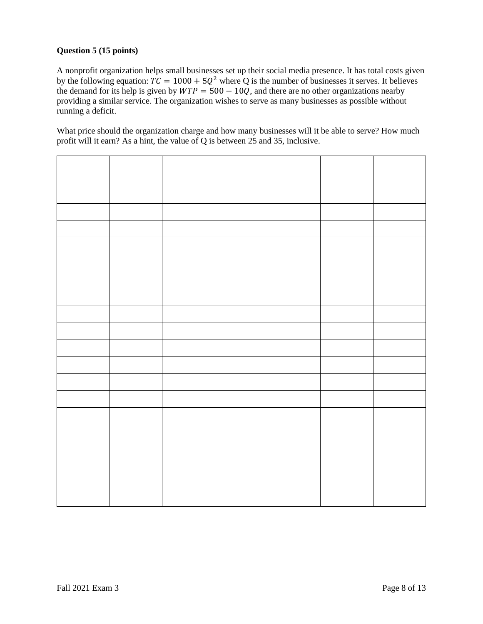# **Question 5 (15 points)**

A nonprofit organization helps small businesses set up their social media presence. It has total costs given by the following equation:  $TC = 1000 + 5Q^2$  where Q is the number of businesses it serves. It believes the demand for its help is given by  $WTP = 500 - 10\tilde{Q}$ , and there are no other organizations nearby providing a similar service. The organization wishes to serve as many businesses as possible without running a deficit.

What price should the organization charge and how many businesses will it be able to serve? How much profit will it earn? As a hint, the value of Q is between 25 and 35, inclusive.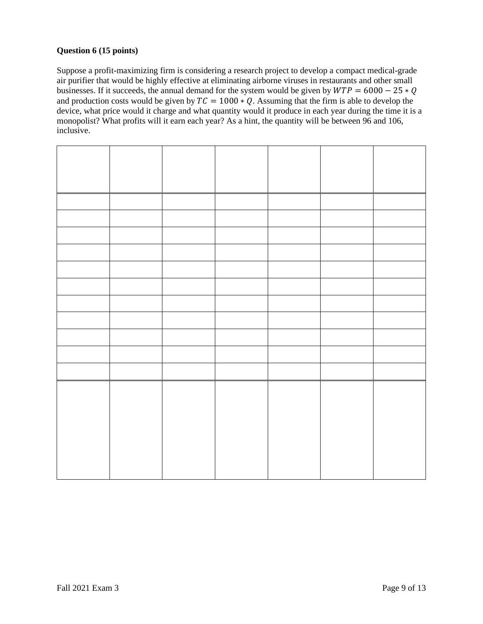### **Question 6 (15 points)**

Suppose a profit-maximizing firm is considering a research project to develop a compact medical-grade air purifier that would be highly effective at eliminating airborne viruses in restaurants and other small businesses. If it succeeds, the annual demand for the system would be given by  $WTP = 6000 - 25 * Q$ and production costs would be given by  $TC = 1000 * Q$ . Assuming that the firm is able to develop the device, what price would it charge and what quantity would it produce in each year during the time it is a monopolist? What profits will it earn each year? As a hint, the quantity will be between 96 and 106, inclusive.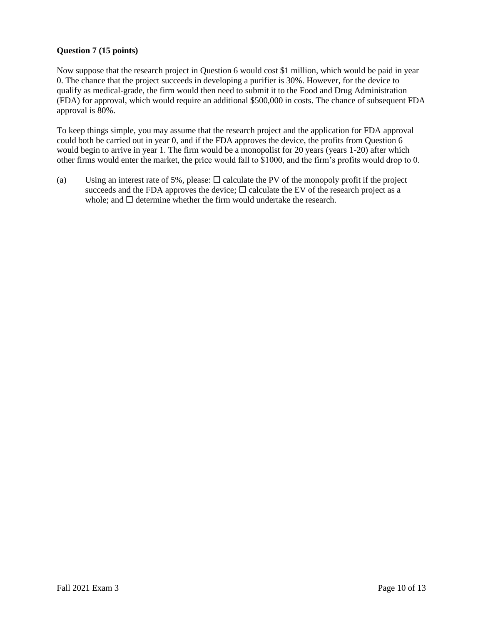## **Question 7 (15 points)**

Now suppose that the research project in Question 6 would cost \$1 million, which would be paid in year 0. The chance that the project succeeds in developing a purifier is 30%. However, for the device to qualify as medical-grade, the firm would then need to submit it to the Food and Drug Administration (FDA) for approval, which would require an additional \$500,000 in costs. The chance of subsequent FDA approval is 80%.

To keep things simple, you may assume that the research project and the application for FDA approval could both be carried out in year 0, and if the FDA approves the device, the profits from Question 6 would begin to arrive in year 1. The firm would be a monopolist for 20 years (years 1-20) after which other firms would enter the market, the price would fall to \$1000, and the firm's profits would drop to 0.

(a) Using an interest rate of 5%, please:  $\Box$  calculate the PV of the monopoly profit if the project succeeds and the FDA approves the device;  $\Box$  calculate the EV of the research project as a whole; and  $\Box$  determine whether the firm would undertake the research.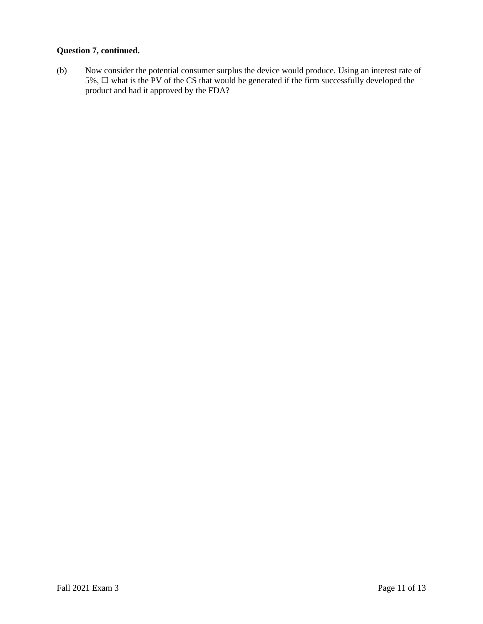# **Question 7, continued.**

(b) Now consider the potential consumer surplus the device would produce. Using an interest rate of 5%,  $\Box$  what is the PV of the CS that would be generated if the firm successfully developed the product and had it approved by the FDA?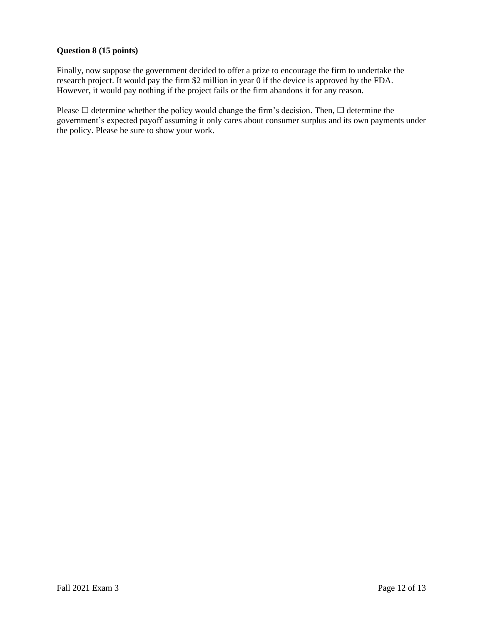### **Question 8 (15 points)**

Finally, now suppose the government decided to offer a prize to encourage the firm to undertake the research project. It would pay the firm \$2 million in year 0 if the device is approved by the FDA. However, it would pay nothing if the project fails or the firm abandons it for any reason.

Please  $\Box$  determine whether the policy would change the firm's decision. Then,  $\Box$  determine the government's expected payoff assuming it only cares about consumer surplus and its own payments under the policy. Please be sure to show your work.